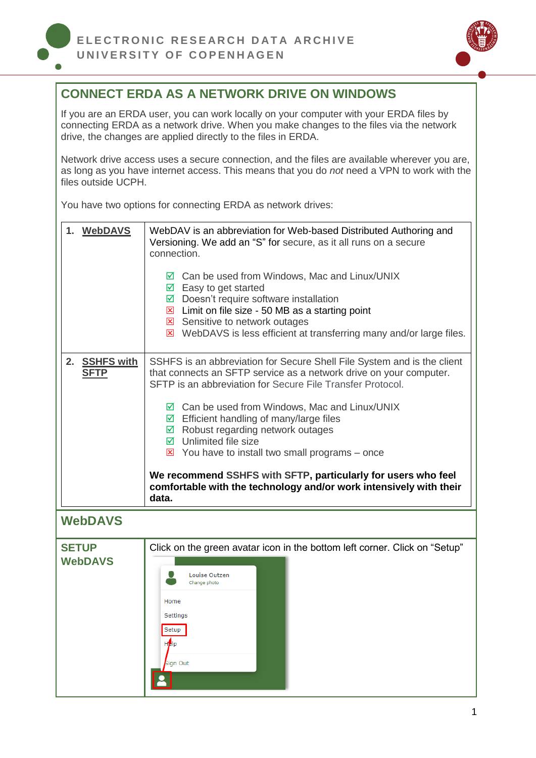

## **CONNECT ERDA AS A NETWORK DRIVE ON WINDOWS**

If you are an ERDA user, you can work locally on your computer with your ERDA files by connecting ERDA as a network drive. When you make changes to the files via the network drive, the changes are applied directly to the files in ERDA.

Network drive access uses a secure connection, and the files are available wherever you are, as long as you have internet access. This means that you do *not* need a VPN to work with the files outside UCPH.

You have two options for connecting ERDA as network drives:

<span id="page-0-0"></span>

| 1. WebDAVS                             | WebDAV is an abbreviation for Web-based Distributed Authoring and<br>Versioning. We add an "S" for secure, as it all runs on a secure<br>connection.                                                                                                                |  |  |  |
|----------------------------------------|---------------------------------------------------------------------------------------------------------------------------------------------------------------------------------------------------------------------------------------------------------------------|--|--|--|
|                                        | $\boxtimes$ Can be used from Windows, Mac and Linux/UNIX<br>$\boxtimes$ Easy to get started<br>$\boxtimes$ Doesn't require software installation<br>$\boxtimes$ Limit on file size - 50 MB as a starting point                                                      |  |  |  |
|                                        | Sensitive to network outages<br>$\boxtimes$ WebDAVS is less efficient at transferring many and/or large files.                                                                                                                                                      |  |  |  |
| 2.<br><b>SSHFS with</b><br><b>SFTP</b> | SSHFS is an abbreviation for Secure Shell File System and is the client<br>that connects an SFTP service as a network drive on your computer.<br>SFTP is an abbreviation for Secure File Transfer Protocol.                                                         |  |  |  |
|                                        | $\boxtimes$ Can be used from Windows, Mac and Linux/UNIX<br>$\boxtimes$ Efficient handling of many/large files<br>$\boxtimes$ Robust regarding network outages<br>$\boxtimes$ Unlimited file size<br>$\triangleright$ You have to install two small programs – once |  |  |  |
|                                        | We recommend SSHFS with SFTP, particularly for users who feel<br>comfortable with the technology and/or work intensively with their<br>data.                                                                                                                        |  |  |  |
| <b>WebDAVS</b>                         |                                                                                                                                                                                                                                                                     |  |  |  |
| <b>SETUP</b>                           | Click on the green avatar icon in the bottom left corner. Click on "Setup"                                                                                                                                                                                          |  |  |  |
| <b>WebDAVS</b>                         |                                                                                                                                                                                                                                                                     |  |  |  |
|                                        | Louise Outzen<br>Change photo                                                                                                                                                                                                                                       |  |  |  |
|                                        | Home                                                                                                                                                                                                                                                                |  |  |  |
|                                        | Settings                                                                                                                                                                                                                                                            |  |  |  |
|                                        | Setup                                                                                                                                                                                                                                                               |  |  |  |
|                                        |                                                                                                                                                                                                                                                                     |  |  |  |
|                                        | <b>H</b> elp<br><b>Bign Out</b>                                                                                                                                                                                                                                     |  |  |  |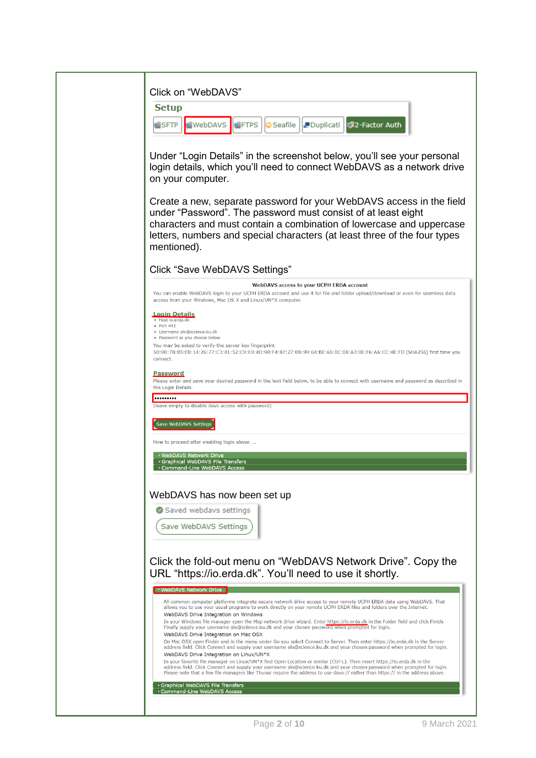| Click on "WebDAVS"                                                                                                                                                                                                                                     |
|--------------------------------------------------------------------------------------------------------------------------------------------------------------------------------------------------------------------------------------------------------|
|                                                                                                                                                                                                                                                        |
| <b>Setup</b>                                                                                                                                                                                                                                           |
| <b>WebDAVS</b><br><b>NETPS</b><br><b>Seafile</b><br><b>PDuplicati</b><br>2-Factor Auth<br>⊞SFTP                                                                                                                                                        |
|                                                                                                                                                                                                                                                        |
| Under "Login Details" in the screenshot below, you'll see your personal                                                                                                                                                                                |
| login details, which you'll need to connect WebDAVS as a network drive                                                                                                                                                                                 |
| on your computer.                                                                                                                                                                                                                                      |
|                                                                                                                                                                                                                                                        |
| Create a new, separate password for your WebDAVS access in the field                                                                                                                                                                                   |
| under "Password". The password must consist of at least eight                                                                                                                                                                                          |
| characters and must contain a combination of lowercase and uppercase                                                                                                                                                                                   |
| letters, numbers and special characters (at least three of the four types                                                                                                                                                                              |
| mentioned).                                                                                                                                                                                                                                            |
| Click "Save WebDAVS Settings"                                                                                                                                                                                                                          |
| <b>WebDAVS access to your UCPH ERDA account</b>                                                                                                                                                                                                        |
| You can enable WebDAVS login to your UCPH ERDA account and use it for file and folder upload/download or even for seamless data<br>access from your Windows, Mac OS X and Linux/UN*X computer.                                                         |
|                                                                                                                                                                                                                                                        |
| <b>Login Details</b><br>· Host io.erda.dk<br>$\bullet$ Port 443                                                                                                                                                                                        |
| · Username alo@science.ku.dk<br>• Password as you choose below                                                                                                                                                                                         |
| You may be asked to verify the server key fingerprint                                                                                                                                                                                                  |
| 50:9B:7B:B5:FB:14:26:77:C3:01:52:C9:E9:4D:90:F4:87:27:0B:99:64:BE:65:0C:08:A3:0E:F6:AA:CC:4E:FD (SHA256) first time you<br>connect.                                                                                                                    |
| <u>Password</u>                                                                                                                                                                                                                                        |
| Please enter and save your desired password in the text field below, to be able to connect with username and password as described in<br>the Login Details.                                                                                            |
|                                                                                                                                                                                                                                                        |
| (leave empty to disable davs access with password)                                                                                                                                                                                                     |
| Save WebDAVS Settings                                                                                                                                                                                                                                  |
| How to proceed after enabling login above                                                                                                                                                                                                              |
| ▶ WebDAVS Network Drive                                                                                                                                                                                                                                |
| Graphical WebDAVS File Transfers<br>Command-Line WebDAVS Access                                                                                                                                                                                        |
|                                                                                                                                                                                                                                                        |
| WebDAVS has now been set up                                                                                                                                                                                                                            |
| Saved webdavs settings                                                                                                                                                                                                                                 |
|                                                                                                                                                                                                                                                        |
| Save WebDAVS Settings                                                                                                                                                                                                                                  |
|                                                                                                                                                                                                                                                        |
|                                                                                                                                                                                                                                                        |
| Click the fold-out menu on "WebDAVS Network Drive". Copy the<br>URL "https://io.erda.dk". You'll need to use it shortly.                                                                                                                               |
|                                                                                                                                                                                                                                                        |
| v WebDAVS Network Drive                                                                                                                                                                                                                                |
| All common computer platforms integrate secure network drive access to your remote UCPH ERDA data using WebDAVS. That<br>allows you to use your usual programs to work directly on your remote UCPH ERDA files and folders over the Internet.          |
| WebDAVS Drive Integration on Windows<br>In your Windows file manager open the Map network drive wizard. Enter https://io.erda.dk in the Folder field and click Finish.                                                                                 |
| Finally supply your username alo@science.ku.dk and your chosen password when prompted for login.<br>WebDAVS Drive Integration on Mac OSX                                                                                                               |
| On Mac OSX open Finder and in the menu under Go you select Connect to Server. Then enter https://io.erda.dk in the Server                                                                                                                              |
| address field. Click Connect and supply your username alo@science.ku.dk and your chosen password when prompted for login.<br>WebDAVS Drive Integration on Linux/UN*X                                                                                   |
| In your favorite file manager on Linux/UN*X find Open Location or similar (Ctrl-L). Then insert https://io.erda.dk in the<br>address field. Click Connect and supply your username alo@science.ku.dk and your chosen password when prompted for login. |
| Please note that a few file managers like Thunar require the address to use davs:// rather than https:// in the address above.                                                                                                                         |
| Graphical WebDAVS File Transfers<br>Command-Line WebDAVS Access                                                                                                                                                                                        |
|                                                                                                                                                                                                                                                        |
|                                                                                                                                                                                                                                                        |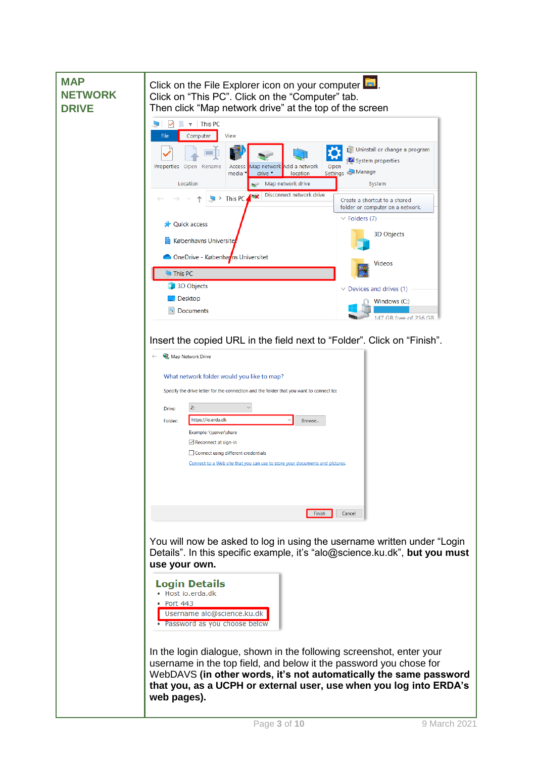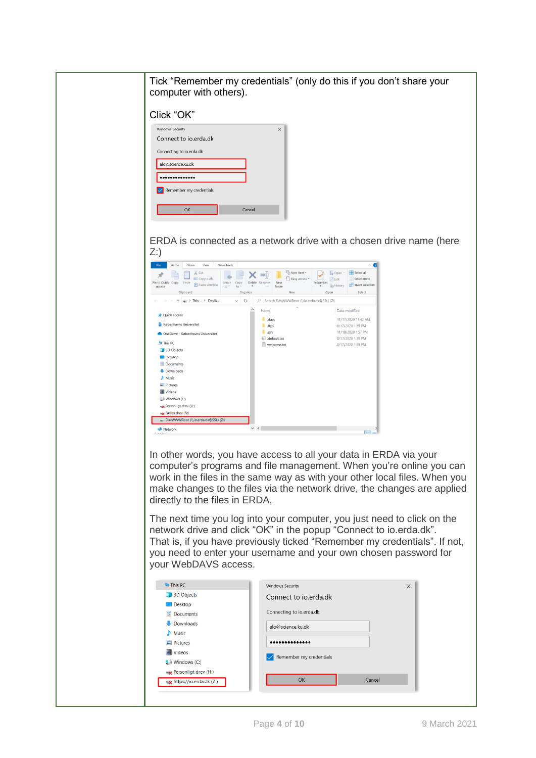| Tick "Remember my credentials" (only do this if you don't share your<br>computer with others).                                                                                                                                                                                                                                                                                                                                       |
|--------------------------------------------------------------------------------------------------------------------------------------------------------------------------------------------------------------------------------------------------------------------------------------------------------------------------------------------------------------------------------------------------------------------------------------|
| Click "OK"                                                                                                                                                                                                                                                                                                                                                                                                                           |
| <b>Windows Security</b><br>$\times$<br>Connect to io.erda.dk<br>Connecting to io.erda.dk<br>alo@science.ku.dk<br><br>Remember my credentials                                                                                                                                                                                                                                                                                         |
| OK<br>Cancel                                                                                                                                                                                                                                                                                                                                                                                                                         |
| ERDA is connected as a network drive with a chosen drive name (here<br>$Z$ :)                                                                                                                                                                                                                                                                                                                                                        |
| File<br>Home<br>Share<br>View<br><b>Drive Tools</b><br>"In New item "<br>Select all<br>$\infty$ Cut<br>Cpen -<br>я<br><b>W</b> Copy path<br>Easy access *<br><b>Select none</b><br><b>Z</b> Edit<br>Pin to Quick Copy<br>Move Copy<br>Delete Rename<br>New<br>Paste<br>Properties<br>Paste shortcut<br>Invert selection<br><b>A</b> History<br>folder<br>access<br>$to$ $\overline{ }$<br>to<br>Organize<br>Clipboard<br>New<br>Oper |
| $\Rightarrow$ > This  > DavW<br>$\vee$ 0<br>C Search DavWWWRoot (\\io.erda.dk@SSL) (Z:)<br>Date modified<br>Name<br><b>Quick access</b><br>11/17/2020 11:42 AM<br>$\blacksquare$ .davs<br><b>R</b> Københavns Universitet<br>$\blacksquare$ .ftps<br>8/17/2020 1:39 PM<br>$\overline{\phantom{a}}$ ssh<br>11/19/2020 1:57 PM<br>OneDrive - Københavns Universitet                                                                    |
| a default.css<br>8/17/2020 1:39 PM<br>This PC<br>welcome.txt<br>8/17/2020 1:39 PM<br>3D Objects<br><b>Desktop</b><br><b>El</b> Documents<br>Downloads<br>Music<br>$=$ Pictures<br><b>隆 Videos</b><br>또 Windows (C:)<br>Personligt drev (H:)<br>x Fælles drev (N:)<br>DavWWWRoot (\\io.erda.dk@SSL) (Z:)<br>$\langle$<br>Network<br>$\sqrt{2}$                                                                                        |
| In other words, you have access to all your data in ERDA via your<br>computer's programs and file management. When you're online you can<br>work in the files in the same way as with your other local files. When you<br>make changes to the files via the network drive, the changes are applied<br>directly to the files in ERDA.                                                                                                 |
| The next time you log into your computer, you just need to click on the<br>network drive and click "OK" in the popup "Connect to io.erda.dk".<br>That is, if you have previously ticked "Remember my credentials". If not,<br>you need to enter your username and your own chosen password for<br>your WebDAVS access.                                                                                                               |
| This PC<br>Windows Security<br>$\times$<br>3D Objects<br>Connect to io.erda.dk<br>$\Box$ Desktop<br>Connecting to io.erda.dk<br>El Documents<br>Downloads<br>alo@science.ku.dk<br>$\blacksquare$ Music<br>Pictures<br><br><b>Wideos</b><br>Remember my credentials<br><b>U</b> Windows (C:)<br><b>x</b> Personligt drev (H:)                                                                                                         |
| OK<br>Cancel<br>** https://io.erda.dk (Z:)                                                                                                                                                                                                                                                                                                                                                                                           |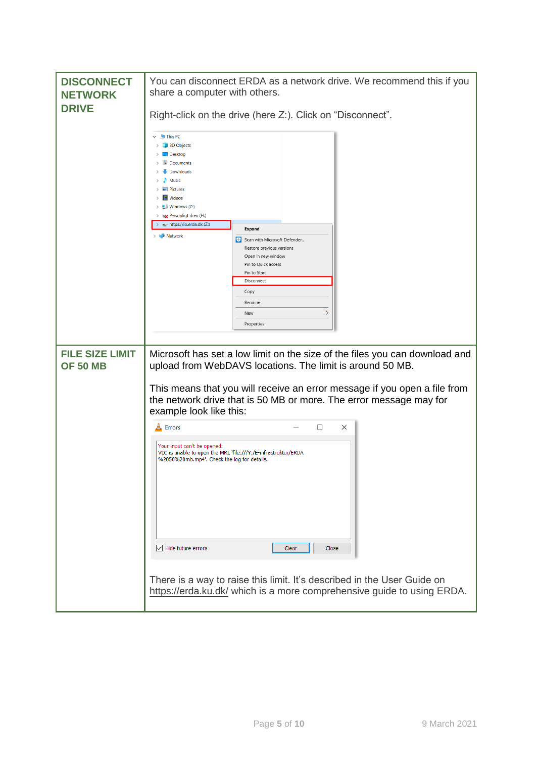| <b>DISCONNECT</b><br><b>NETWORK</b><br><b>DRIVE</b> | You can disconnect ERDA as a network drive. We recommend this if you<br>share a computer with others.                                                                           |
|-----------------------------------------------------|---------------------------------------------------------------------------------------------------------------------------------------------------------------------------------|
|                                                     | Right-click on the drive (here Z:). Click on "Disconnect".                                                                                                                      |
|                                                     | $\vee$ This PC<br>3D Objects<br>$\Box$ Desktop<br>Documents<br>Downloads<br>Music<br>$\equiv$ Pictures<br>Videos<br>$\Rightarrow$ $\equiv$ Windows (C:)<br>Rersonligt drev (H:) |
|                                                     | https://io.erda.dk (Z:)<br><b>Expand</b><br>Network                                                                                                                             |
|                                                     | Scan with Microsoft Defender<br>Restore previous versions                                                                                                                       |
|                                                     | Open in new window<br>Pin to Quick access                                                                                                                                       |
|                                                     | Pin to Start<br>Disconnect                                                                                                                                                      |
|                                                     | Copy                                                                                                                                                                            |
|                                                     | Rename<br>$\rightarrow$<br>New                                                                                                                                                  |
|                                                     | Properties                                                                                                                                                                      |
|                                                     |                                                                                                                                                                                 |
| <b>FILE SIZE LIMIT</b><br><b>OF 50 MB</b>           | Microsoft has set a low limit on the size of the files you can download and<br>upload from WebDAVS locations. The limit is around 50 MB.                                        |
|                                                     | This means that you will receive an error message if you open a file from<br>the network drive that is 50 MB or more. The error message may for<br>example look like this:      |
|                                                     | □<br>$\times$<br><b>A</b> Errors                                                                                                                                                |
|                                                     | Your input can't be opened:<br>VLC is unable to open the MRL 'file:///Y:/E-infrastruktur/ERDA<br>%2050%20mb.mp4'. Check the log for details.                                    |
|                                                     |                                                                                                                                                                                 |
|                                                     | $\sqrt{\phantom{a}}$ Hide future errors<br>Clear<br>Close                                                                                                                       |
|                                                     | There is a way to raise this limit. It's described in the User Guide on<br>https://erda.ku.dk/ which is a more comprehensive guide to using ERDA.                               |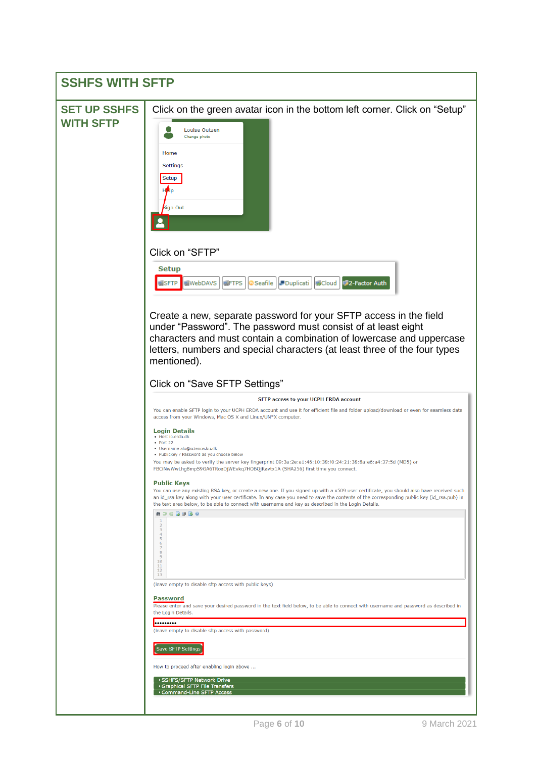<span id="page-5-0"></span>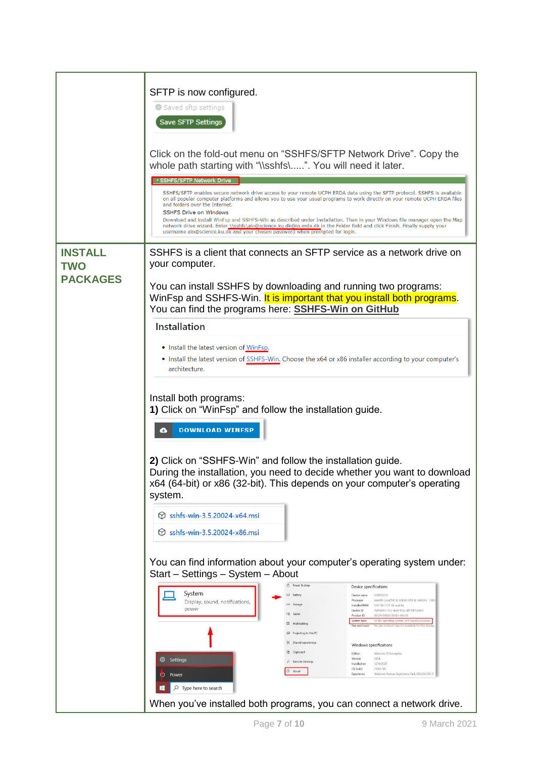|                                                 | SFTP is now configured.<br>Saved sftp settings<br><b>Save SFTP Settings</b><br>Click on the fold-out menu on "SSHFS/SFTP Network Drive". Copy the<br>whole path starting with "\\sshfs\". You will need it later.<br><b>- SSHFS/SFTP Network Drive</b><br>SSHFS/SFTP enables secure network drive access to your remote UCPH ERDA data using the SFTP protocol. SSHFS is available<br>on all popular computer platforms and allows you to use your usual programs to work directly on your remote UCPH ERDA files<br>and folders over the Internet.<br><b>SSHFS Drive on Windows</b><br>Download and install WinFsp and SSHFS-Win as described under Installation. Then in your Windows file manager open the Map<br>network drive wizard. Enter_\\sshfs\alo@science.ku.dk@io.erda.dk in the Folder field and click Finish. Finally supply your<br>username alo@science.ku.dk and your chosen password when prompted for login.                                                                                                                                                                                                     |  |
|-------------------------------------------------|-------------------------------------------------------------------------------------------------------------------------------------------------------------------------------------------------------------------------------------------------------------------------------------------------------------------------------------------------------------------------------------------------------------------------------------------------------------------------------------------------------------------------------------------------------------------------------------------------------------------------------------------------------------------------------------------------------------------------------------------------------------------------------------------------------------------------------------------------------------------------------------------------------------------------------------------------------------------------------------------------------------------------------------------------------------------------------------------------------------------------------------|--|
| <b>INSTALL</b><br><b>TWO</b><br><b>PACKAGES</b> | SSHFS is a client that connects an SFTP service as a network drive on<br>your computer.<br>You can install SSHFS by downloading and running two programs:<br>WinFsp and SSHFS-Win. It is important that you install both programs.<br>You can find the programs here: <b>SSHFS-Win on GitHub</b><br><b>Installation</b><br>• Install the latest version of WinFsp.<br>• Install the latest version of SSHFS-Win. Choose the x64 or x86 installer according to your computer's<br>architecture.<br>Install both programs:<br>1) Click on "WinFsp" and follow the installation guide.<br><b>DOWNLOAD WINFSP</b><br>2) Click on "SSHFS-Win" and follow the installation guide.<br>During the installation, you need to decide whether you want to download<br>x64 (64-bit) or x86 (32-bit). This depends on your computer's operating<br>system.<br>sshfs-win-3.5.20024-x64.msi<br>М<br>sshfs-win-3.5.20024-x86.msi<br>М                                                                                                                                                                                                               |  |
|                                                 | You can find information about your computer's operating system under:<br>Start - Settings - System - About<br>C Power & sleep<br>Device specifications<br>System<br><b>D</b> Battery<br>SC11005723<br>Device name<br>Intel(R) Core(TM) I5-8365U CPU @ 1,60GHz 1.90 (<br>Processor<br>Display, sound, notifications,<br>City Storage<br>Installed RAM 8.00 GB (7.72 GB usable)<br>power<br>7e159043-17c3-4cdf-97a3-df71087c8439<br>Device ID<br><b>EB</b> Tablet<br>Product ID<br>00329-00000-00003-AAS39<br>System type<br>64-bit operating system, x64-based processo<br>E Multitasking<br>Pen and touch<br>No pen or touch input is available for this displ<br>Projecting to this PC<br>X Shared experiences<br>Windows specifications<br>Clipboard<br>Windows 10 Enterprise<br>Edition<br>Settings<br>Version<br>2004<br>१०३<br>>< Remote Desktop<br>12/11/2020<br>Installed on<br>OS build<br>19041.746<br><b>O</b> About<br>Windows Feature Experience Pack 120.2212.551.0<br>Experience<br>( <sup>'</sup> ) Power<br>$\varphi$ Type here to search<br>When you've installed both programs, you can connect a network drive. |  |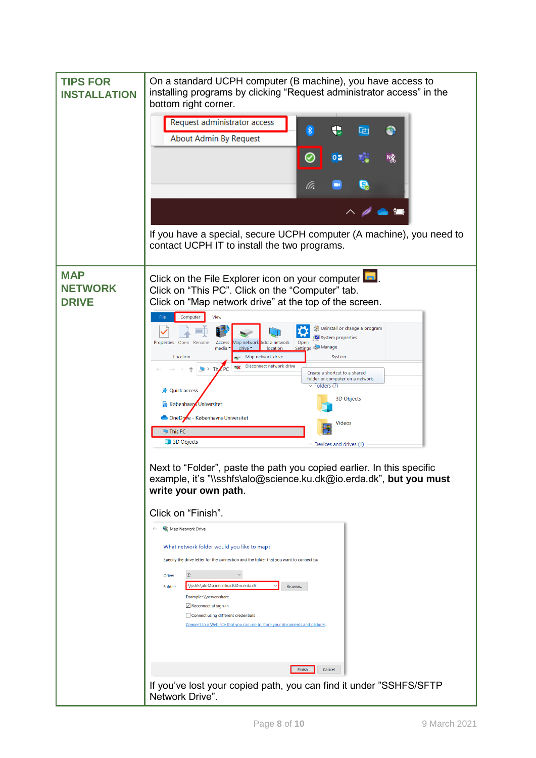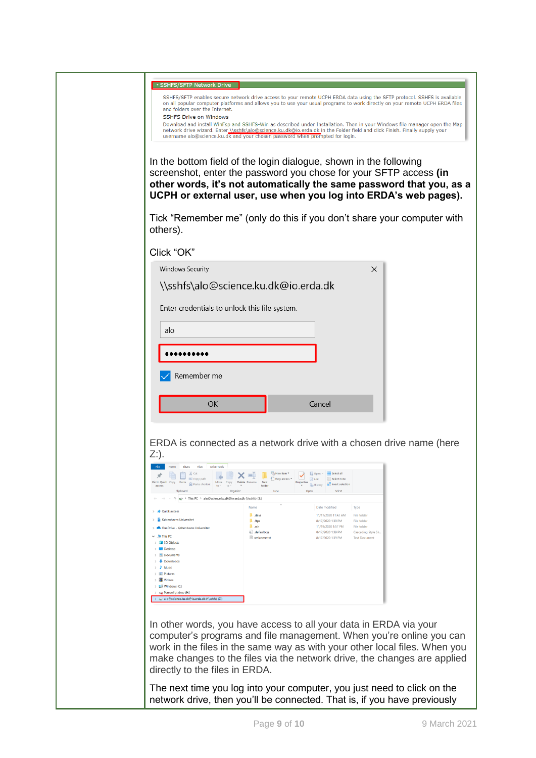| GSHFS/SFTP Network Drive<br>SSHFS/SFTP enables secure network drive access to your remote UCPH ERDA data using the SFTP protocol. SSHFS is available<br>on all popular computer platforms and allows you to use your usual programs to work directly on your remote UCPH ERDA files<br>and folders over the Internet.<br><b>SSHFS Drive on Windows</b><br>Download and install WinFsp and SSHFS-Win as described under Installation. Then in your Windows file manager open the Map<br>network drive wizard. Enter \\sshfs\alo@science.ku.dk@io.erda.dk in the Folder field and click Finish. Finally supply your<br>username alo@science.ku.dk and your chosen password when prompted for login.<br>In the bottom field of the login dialogue, shown in the following<br>screenshot, enter the password you chose for your SFTP access (in<br>other words, it's not automatically the same password that you, as a<br>UCPH or external user, use when you log into ERDA's web pages).                                                                                                                                                                                                                                                                                                                                                                                                                                                                                                                                                                                                                                                                   |
|----------------------------------------------------------------------------------------------------------------------------------------------------------------------------------------------------------------------------------------------------------------------------------------------------------------------------------------------------------------------------------------------------------------------------------------------------------------------------------------------------------------------------------------------------------------------------------------------------------------------------------------------------------------------------------------------------------------------------------------------------------------------------------------------------------------------------------------------------------------------------------------------------------------------------------------------------------------------------------------------------------------------------------------------------------------------------------------------------------------------------------------------------------------------------------------------------------------------------------------------------------------------------------------------------------------------------------------------------------------------------------------------------------------------------------------------------------------------------------------------------------------------------------------------------------------------------------------------------------------------------------------------------------|
| Tick "Remember me" (only do this if you don't share your computer with<br>others).                                                                                                                                                                                                                                                                                                                                                                                                                                                                                                                                                                                                                                                                                                                                                                                                                                                                                                                                                                                                                                                                                                                                                                                                                                                                                                                                                                                                                                                                                                                                                                       |
| Click "OK"                                                                                                                                                                                                                                                                                                                                                                                                                                                                                                                                                                                                                                                                                                                                                                                                                                                                                                                                                                                                                                                                                                                                                                                                                                                                                                                                                                                                                                                                                                                                                                                                                                               |
| Windows Security<br>$\times$                                                                                                                                                                                                                                                                                                                                                                                                                                                                                                                                                                                                                                                                                                                                                                                                                                                                                                                                                                                                                                                                                                                                                                                                                                                                                                                                                                                                                                                                                                                                                                                                                             |
| \\sshfs\alo@science.ku.dk@io.erda.dk                                                                                                                                                                                                                                                                                                                                                                                                                                                                                                                                                                                                                                                                                                                                                                                                                                                                                                                                                                                                                                                                                                                                                                                                                                                                                                                                                                                                                                                                                                                                                                                                                     |
|                                                                                                                                                                                                                                                                                                                                                                                                                                                                                                                                                                                                                                                                                                                                                                                                                                                                                                                                                                                                                                                                                                                                                                                                                                                                                                                                                                                                                                                                                                                                                                                                                                                          |
| Enter credentials to unlock this file system.                                                                                                                                                                                                                                                                                                                                                                                                                                                                                                                                                                                                                                                                                                                                                                                                                                                                                                                                                                                                                                                                                                                                                                                                                                                                                                                                                                                                                                                                                                                                                                                                            |
| alo                                                                                                                                                                                                                                                                                                                                                                                                                                                                                                                                                                                                                                                                                                                                                                                                                                                                                                                                                                                                                                                                                                                                                                                                                                                                                                                                                                                                                                                                                                                                                                                                                                                      |
|                                                                                                                                                                                                                                                                                                                                                                                                                                                                                                                                                                                                                                                                                                                                                                                                                                                                                                                                                                                                                                                                                                                                                                                                                                                                                                                                                                                                                                                                                                                                                                                                                                                          |
|                                                                                                                                                                                                                                                                                                                                                                                                                                                                                                                                                                                                                                                                                                                                                                                                                                                                                                                                                                                                                                                                                                                                                                                                                                                                                                                                                                                                                                                                                                                                                                                                                                                          |
| Remember me                                                                                                                                                                                                                                                                                                                                                                                                                                                                                                                                                                                                                                                                                                                                                                                                                                                                                                                                                                                                                                                                                                                                                                                                                                                                                                                                                                                                                                                                                                                                                                                                                                              |
|                                                                                                                                                                                                                                                                                                                                                                                                                                                                                                                                                                                                                                                                                                                                                                                                                                                                                                                                                                                                                                                                                                                                                                                                                                                                                                                                                                                                                                                                                                                                                                                                                                                          |
| Cancel<br><b>OK</b>                                                                                                                                                                                                                                                                                                                                                                                                                                                                                                                                                                                                                                                                                                                                                                                                                                                                                                                                                                                                                                                                                                                                                                                                                                                                                                                                                                                                                                                                                                                                                                                                                                      |
| ERDA is connected as a network drive with a chosen drive name (here<br>$Z$ :).<br>Share<br>View<br><b>Drive Tools</b><br>Thew item Design open v Estect all<br>Easy access v Edit Belect not<br>Edit Big Select none<br>Pin to Quick Copy Paste the Paste shortcut Move Copy Delete Rename New access<br>Properties<br>Elistory<br>Chistory<br>Call Invert selection<br><b>Service Service Service Service Service Service Service Service Service Service Service Service Service Service</b><br><b>Call Contract Contract Contract Contract Contract Contract Contract Contract Contract Contract Contract Contract Contract Contract Contract Contract Contract Contract Contract Contract Contract Contract Contract Contract </b><br>Clipboard<br>Open<br><b>New</b><br>Select<br>$\rightarrow$ $\uparrow$ > This PC > alo@science.ku.dk@io.erda.dk (\\sshfs) (Z:)<br>Date modified<br>Name<br>Type<br>> < Quick access<br>$\blacksquare$ . days<br>11/17/2020 11:42 AM<br>File folder<br>> la Københavns Universitet<br>$\blacksquare$ .ftps<br>8/17/2020 1:39 PM<br>File folder<br>$\overline{\phantom{a}}$ ssh<br>11/19/2020 1:57 PM<br>File folder<br>> OneDrive - Københavns Universitet<br>all default.css<br>8/17/2020 1:39 PM<br>Cascading Style Sh.<br>$\vee$ This PC<br>welcome.txt<br>8/17/2020 1:39 PM<br><b>Text Document</b><br>> 3D Objects<br>$\angle$ <b>III</b> Desktop<br>$\angle$ $\blacksquare$ Documents<br>$\angle$ <b>Downloads</b><br>$> 1$ Music<br>$\angle$ $\blacksquare$ Pictures<br>$\angle$ $\blacksquare$ Videos<br>> 텔을 Windows (C:)<br>> sx Personligt drev (H:)<br>> alo@science.ku.dk@io.erda.dk (\\sshfs) (Z:) |
| In other words, you have access to all your data in ERDA via your<br>computer's programs and file management. When you're online you can<br>work in the files in the same way as with your other local files. When you<br>make changes to the files via the network drive, the changes are applied<br>directly to the files in ERDA.<br>The next time you log into your computer, you just need to click on the<br>network drive, then you'll be connected. That is, if you have previously                                                                                                                                                                                                                                                                                                                                                                                                                                                                                                                                                                                                                                                                                                                                                                                                                                                                                                                                                                                                                                                                                                                                                              |